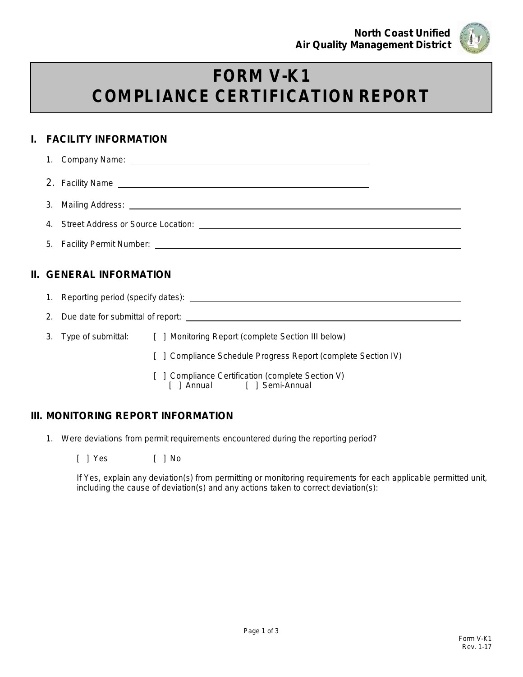

# **FORM V-K1 COMPLIANCE CERTIFICATION REPORT**

## **I. FACILITY INFORMATION**

|  | II. GENERAL INFORMATION                                                                                                                                                                                                        |
|--|--------------------------------------------------------------------------------------------------------------------------------------------------------------------------------------------------------------------------------|
|  |                                                                                                                                                                                                                                |
|  | 2. Due date for submittal of report: example and a series of the state of the state of the state of the state of the state of the state of the state of the state of the state of the state of the state of the state of the s |
|  | 3. Type of submittal: [ ] Monitoring Report (complete Section III below)                                                                                                                                                       |
|  | [ ] Compliance Schedule Progress Report (complete Section IV)                                                                                                                                                                  |
|  | [ ] Compliance Certification (complete Section V)                                                                                                                                                                              |

[ ] Annual [ ] Semi-Annual

### **III. MONITORING REPORT INFORMATION**

- 1. Were deviations from permit requirements encountered during the reporting period?
	- [ ] Yes [ ] No

If Yes, explain any deviation(s) from permitting or monitoring requirements for each applicable permitted unit, including the cause of deviation(s) and any actions taken to correct deviation(s):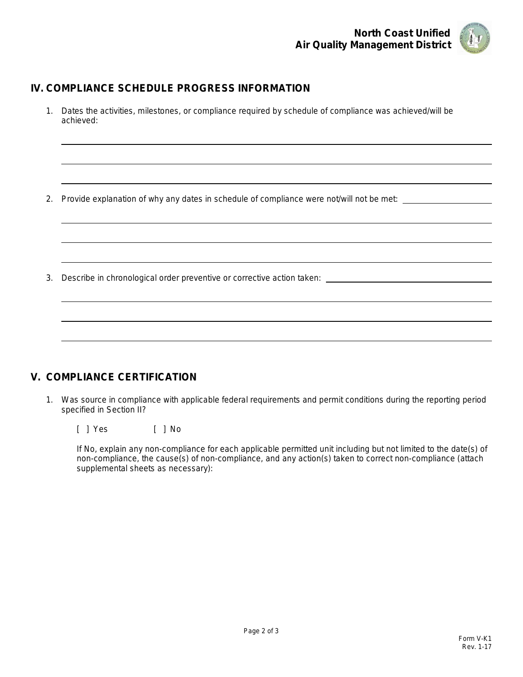

### **IV. COMPLIANCE SCHEDULE PROGRESS INFORMATION**

1. Dates the activities, milestones, or compliance required by schedule of compliance was achieved/will be achieved:

2. Provide explanation of why any dates in schedule of compliance were not/will not be met:

3. Describe in chronological order preventive or corrective action taken:

### **V. COMPLIANCE CERTIFICATION**

1. Was source in compliance with applicable federal requirements and permit conditions during the reporting period specified in Section II?

[ ] Yes [ ] No

If No, explain any non-compliance for each applicable permitted unit including but not limited to the date(s) of non-compliance, the cause(s) of non-compliance, and any action(s) taken to correct non-compliance (attach supplemental sheets as necessary):